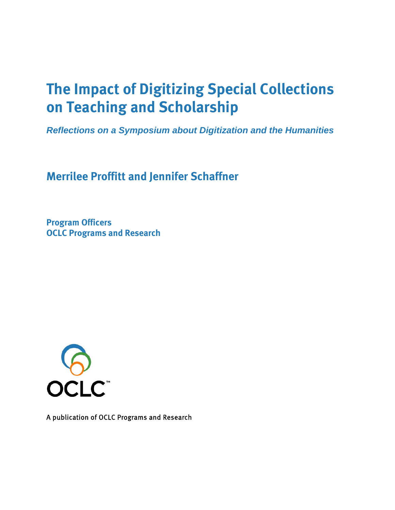# **The Impact of Digitizing Special Collections on Teaching and Scholarship**

*Reflections on a Symposium about Digitization and the Humanities* 

**Merrilee Proffitt and Jennifer Schaffner** 

**Program Officers OCLC Programs and Research** 



A publication of OCLC Programs and Research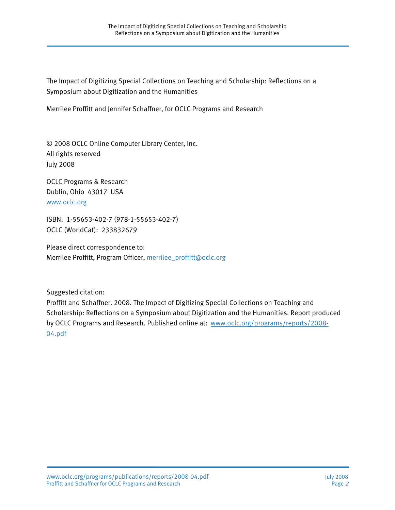The Impact of Digitizing Special Collections on Teaching and Scholarship: Reflections on a Symposium about Digitization and the Humanities

Merrilee Proffitt and Jennifer Schaffner, for OCLC Programs and Research

© 2008 OCLC Online Computer Library Center, Inc. All rights reserved July 2008

OCLC Programs & Research Dublin, Ohio 43017 USA [www.oclc.org](http://www.oclc.org/)

ISBN: 1-55653-402-7 (978-1-55653-402-7) OCLC (WorldCat): 233832679

Please direct correspondence to: Merrilee Proffitt, Program Officer, [merrilee\\_proffitt@oclc.org](mailto:merrilee_proffitt@oclc.org%0BJennifer)

Suggested citation:

Proffitt and Schaffner. 2008. The Impact of Digitizing Special Collections on Teaching and Scholarship: Reflections on a Symposium about Digitization and the Humanities. Report produced by OCLC Programs and Research. Published online at: [www.oclc.org/programs/reports/2008-](http://www.oclc.org/programs/reports/2008-04.pdf) [04.pdf](http://www.oclc.org/programs/reports/2008-04.pdf)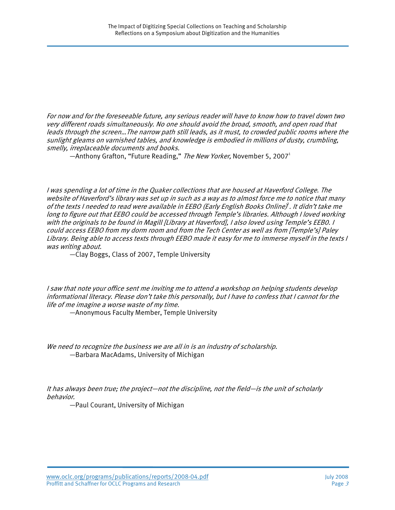For now and for the foreseeable future, any serious reader will have to know how to travel down two very different roads simultaneously. No one should avoid the broad, smooth, and open road that leads through the screen…The narrow path still leads, as it must, to crowded public rooms where the sunlight gleams on varnished tables, and knowledge is embodied in millions of dusty, crumbling, smelly, irreplaceable documents and books.

—Anthony Grafton, "Future Reading," The New Yorker, November 5, 2007<sup>1</sup>

I was spending a lot of time in the Quaker collections that are housed at Haverford College. The website of Haverford's library was set up in such as a way as to almost force me to notice that many of the texts I needed to read were available in EEBO (Early English Books Online)<sup>9</sup>. It didn't take me long to figure out that EEBO could be accessed through Temple's libraries. Although I loved working with the originals to be found in Magill [Library at Haverford], I also loved using Temple's EEB0. I could access EEBO from my dorm room and from the Tech Center as well as from [Temple's] Paley Library. Being able to access texts through EEBO made it easy for me to immerse myself in the texts I was writing about.

—Clay Boggs, Class of 2007, Temple University

I saw that note your office sent me inviting me to attend a workshop on helping students develop informational literacy. Please don't take this personally, but I have to confess that I cannot for the life of me imagine a worse waste of my time.

—Anonymous Faculty Member, Temple University

We need to recognize the business we are all in is an industry of scholarship. —Barbara MacAdams, University of Michigan

It has always been true; the project—not the discipline, not the field—is the unit of scholarly behavior.

—Paul Courant, University of Michigan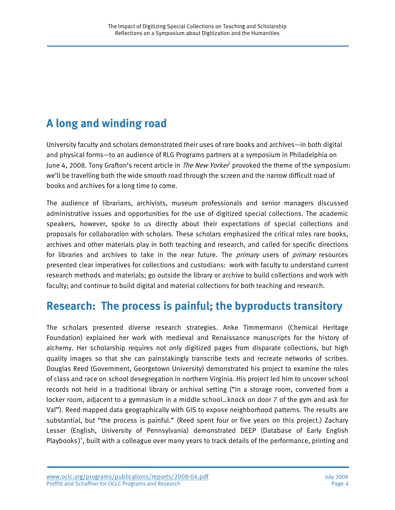## **A long and winding road**

University faculty and scholars demonstrated their uses of rare books and archives—in both digital and physical forms—to an audience of RLG Programs partners at a symposium in Philadelphia on June 4, 2008. Tony Grafton's recent article in *The New Yorker*<sup>3</sup> provoked the theme of the symposium: we'll be travelling both the wide smooth road through the screen and the narrow difficult road of books and archives for a long time to come.

The audience of librarians, archivists, museum professionals and senior managers discussed administrative issues and opportunities for the use of digitized special collections. The academic speakers, however, spoke to us directly about their expectations of special collections and proposals for collaboration with scholars. These scholars emphasized the critical roles rare books, archives and other materials play in both teaching and research, and called for specific directions for libraries and archives to take in the near future. The *primary* users of *primary* resources presented clear imperatives for collections and custodians: work with faculty to understand current research methods and materials; go outside the library or archive to build collections and work with faculty; and continue to build digital and material collections for both teaching and research.

### **Research: The process is painful; the byproducts transitory**

The scholars presented diverse research strategies. Anke Timmermann (Chemical Heritage Foundation) explained her work with medieval and Renaissance manuscripts for the history of alchemy. Her scholarship requires not only digitized pages from disparate collections, but high quality images so that she can painstakingly transcribe texts and recreate networks of scribes. Douglas Reed (Government, Georgetown University) demonstrated his project to examine the roles of class and race on school desegregation in northern Virginia. His project led him to uncover school records not held in a traditional library or archival setting ("in a storage room, converted from a locker room, adjacent to a gymnasium in a middle school…knock on door 7 of the gym and ask for Val"). Reed mapped data geographically with GIS to expose neighborhood patterns. The results are substantial, but "the process is painful." (Reed spent four or five years on this project.) Zachary Lesser (English, University of Pennsylvania) demonstrated DEEP (Database of Early English Playbooks)<sup>4</sup>, built with a colleague over many years to track details of the performance, printing and

www.oclc.org/programs/publications/reports/2008-04.pdf July 2008 Proffitt and Schaffner for OCLC Programs and Research **Page 4** and Page 4 and Page 4 and Page 4 and Page 4 and Page 4 and Page 4 and Page 4 and Page 4 and Page 4 and Page 4 and Page 4 and Page 4 and Page 4 and Page 4 and P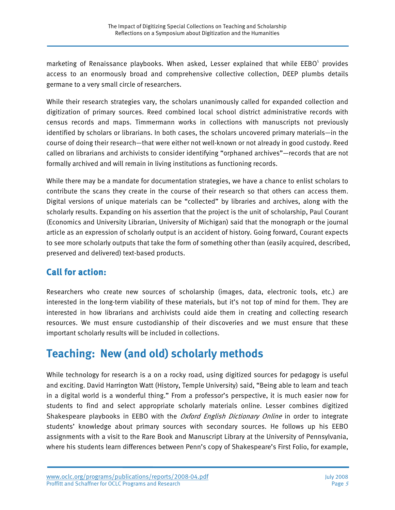marketing of Renaissance playbooks. When asked, Lesser explained that while EEBO<sup>5</sup> provides access to an enormously broad and comprehensive collective collection, DEEP plumbs details germane to a very small circle of researchers.

While their research strategies vary, the scholars unanimously called for expanded collection and digitization of primary sources. Reed combined local school district administrative records with census records and maps. Timmermann works in collections with manuscripts not previously identified by scholars or librarians. In both cases, the scholars uncovered primary materials—in the course of doing their research—that were either not well-known or not already in good custody. Reed called on librarians and archivists to consider identifying "orphaned archives"—records that are not formally archived and will remain in living institutions as functioning records.

While there may be a mandate for documentation strategies, we have a chance to enlist scholars to contribute the scans they create in the course of their research so that others can access them. Digital versions of unique materials can be "collected" by libraries and archives, along with the scholarly results. Expanding on his assertion that the project is the unit of scholarship, Paul Courant (Economics and University Librarian, University of Michigan) said that the monograph or the journal article as an expression of scholarly output is an accident of history. Going forward, Courant expects to see more scholarly outputs that take the form of something other than (easily acquired, described, preserved and delivered) text-based products.

### **Call for action:**

Researchers who create new sources of scholarship (images, data, electronic tools, etc.) are interested in the long-term viability of these materials, but it's not top of mind for them. They are interested in how librarians and archivists could aide them in creating and collecting research resources. We must ensure custodianship of their discoveries and we must ensure that these important scholarly results will be included in collections.

## **Teaching: New (and old) scholarly methods**

While technology for research is a on a rocky road, using digitized sources for pedagogy is useful and exciting. David Harrington Watt (History, Temple University) said, "Being able to learn and teach in a digital world is a wonderful thing." From a professor's perspective, it is much easier now for students to find and select appropriate scholarly materials online. Lesser combines digitized Shakespeare playbooks in EEBO with the *Oxford English Dictionary Online* in order to integrate students' knowledge about primary sources with secondary sources. He follows up his EEBO assignments with a visit to the Rare Book and Manuscript Library at the University of Pennsylvania, where his students learn differences between Penn's copy of Shakespeare's First Folio, for example,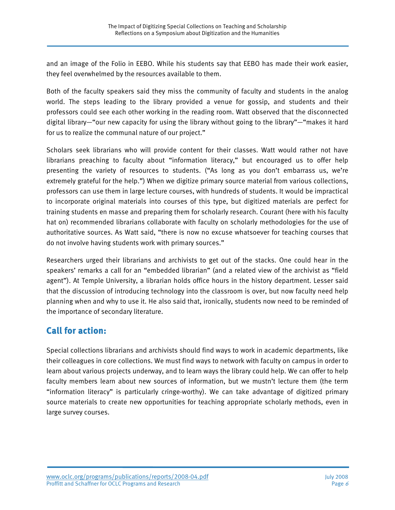and an image of the Folio in EEBO. While his students say that EEBO has made their work easier, they feel overwhelmed by the resources available to them.

Both of the faculty speakers said they miss the community of faculty and students in the analog world. The steps leading to the library provided a venue for gossip, and students and their professors could see each other working in the reading room. Watt observed that the disconnected digital library—"our new capacity for using the library without going to the library"—"makes it hard for us to realize the communal nature of our project."

Scholars seek librarians who will provide content for their classes. Watt would rather not have librarians preaching to faculty about "information literacy," but encouraged us to offer help presenting the variety of resources to students. ("As long as you don't embarrass us, we're extremely grateful for the help.") When we digitize primary source material from various collections, professors can use them in large lecture courses, with hundreds of students. It would be impractical to incorporate original materials into courses of this type, but digitized materials are perfect for training students en masse and preparing them for scholarly research. Courant (here with his faculty hat on) recommended librarians collaborate with faculty on scholarly methodologies for the use of authoritative sources. As Watt said, "there is now no excuse whatsoever for teaching courses that do not involve having students work with primary sources."

Researchers urged their librarians and archivists to get out of the stacks. One could hear in the speakers' remarks a call for an "embedded librarian" (and a related view of the archivist as "field agent"). At Temple University, a librarian holds office hours in the history department. Lesser said that the discussion of introducing technology into the classroom is over, but now faculty need help planning when and why to use it. He also said that, ironically, students now need to be reminded of the importance of secondary literature.

#### **Call for action:**

Special collections librarians and archivists should find ways to work in academic departments, like their colleagues in core collections. We must find ways to network with faculty on campus in order to learn about various projects underway, and to learn ways the library could help. We can offer to help faculty members learn about new sources of information, but we mustn't lecture them (the term "information literacy" is particularly cringe-worthy). We can take advantage of digitized primary source materials to create new opportunities for teaching appropriate scholarly methods, even in large survey courses.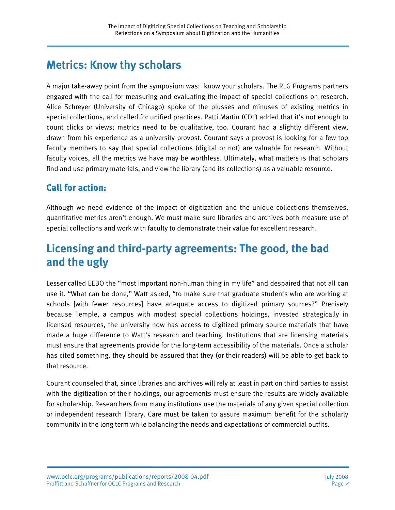### **Metrics: Know thy scholars**

A major take-away point from the symposium was: know your scholars. The RLG Programs partners engaged with the call for measuring and evaluating the impact of special collections on research. Alice Schreyer (University of Chicago) spoke of the plusses and minuses of existing metrics in special collections, and called for unified practices. Patti Martin (CDL) added that it's not enough to count clicks or views; metrics need to be qualitative, too. Courant had a slightly different view, drawn from his experience as a university provost. Courant says a provost is looking for a few top faculty members to say that special collections (digital or not) are valuable for research. Without faculty voices, all the metrics we have may be worthless. Ultimately, what matters is that scholars find and use primary materials, and view the library (and its collections) as a valuable resource.

### **Call for action:**

Although we need evidence of the impact of digitization and the unique collections themselves, quantitative metrics aren't enough. We must make sure libraries and archives both measure use of special collections and work with faculty to demonstrate their value for excellent research.

### **Licensing and third-party agreements: The good, the bad and the ugly**

Lesser called EEBO the "most important non-human thing in my life" and despaired that not all can use it. "What can be done," Watt asked, "to make sure that graduate students who are working at schools [with fewer resources] have adequate access to digitized primary sources?" Precisely because Temple, a campus with modest special collections holdings, invested strategically in licensed resources, the university now has access to digitized primary source materials that have made a huge difference to Watt's research and teaching. Institutions that are licensing materials must ensure that agreements provide for the long-term accessibility of the materials. Once a scholar has cited something, they should be assured that they (or their readers) will be able to get back to that resource.

Courant counseled that, since libraries and archives will rely at least in part on third parties to assist with the digitization of their holdings, our agreements must ensure the results are widely available for scholarship. Researchers from many institutions use the materials of any given special collection or independent research library. Care must be taken to assure maximum benefit for the scholarly community in the long term while balancing the needs and expectations of commercial outfits.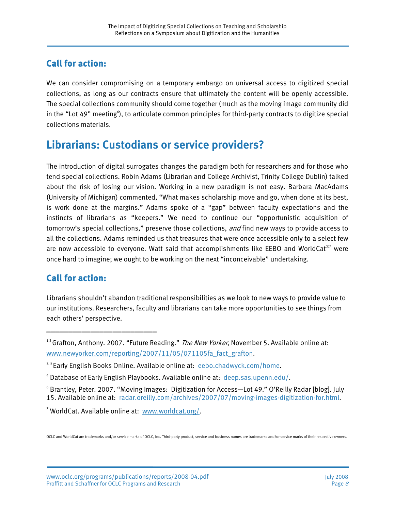### **Call for action:**

We can consider compromising on a temporary embargo on universal access to digitized special collections, as long as our contracts ensure that ultimately the content will be openly accessible. The special collections community should come together (much as the moving image community did in the "Lot 49" meeting<sup>6</sup>), to articulate common principles for third-party contracts to digitize special collections materials.

### **Librarians: Custodians or service providers?**

The introduction of digital surrogates changes the paradigm both for researchers and for those who tend special collections. Robin Adams (Librarian and College Archivist, Trinity College Dublin) talked about the risk of losing our vision. Working in a new paradigm is not easy. Barbara MacAdams (University of Michigan) commented, "What makes scholarship move and go, when done at its best, is work done at the margins." Adams spoke of a "gap" between faculty expectations and the instincts of librarians as "keepers." We need to continue our "opportunistic acquisition of tomorrow's special collections," preserve those collections, and find new ways to provide access to all the collections. Adams reminded us that treasures that were once accessible only to a select few are now accessible to everyone. Watt said that accomplishments like EEBO and WorldCat $^{\circledast7}$  were once hard to imagine; we ought to be working on the next "inconceivable" undertaking.

#### **Call for action:**

\_\_\_\_\_\_\_\_\_\_\_\_\_\_\_\_\_\_\_\_\_\_\_\_\_

Librarians shouldn't abandon traditional responsibilities as we look to new ways to provide value to our institutions. Researchers, faculty and librarians can take more opportunities to see things from each others' perspective.

<sup>7</sup> WorldCat. Available online at: [www.worldcat.org/](http://www.worldcat.org/).

OCLC and WorldCat are trademarks and/or service marks of OCLC, Inc. Third-party product, service and business names are trademarks and/or service marks of their respective owners.

 $1,3$  Grafton, Anthony. 2007. "Future Reading." The New Yorker, November 5. Available online at: [www.newyorker.com/reporting/2007/11/05/071105fa\\_fact\\_grafton](http://www.newyorker.com/reporting/2007/11/05/071105fa_fact_grafton).

<sup>&</sup>lt;sup>2,5</sup> Early English Books Online. Available online at: [eebo.chadwyck.com/home.](http://eebo.chadwyck.com/home)

<sup>&</sup>lt;sup>4</sup> Database of Early English Playbooks. Available online at: [deep.sas.upenn.edu/.](http://deep.sas.upenn.edu/)

<sup>6</sup> Brantley, Peter. 2007. "Moving Images: Digitization for Access—Lot 49." O'Reilly Radar [blog]. July 15. Available online at: [radar.oreilly.com/archives/2007/07/moving-images-digitization-for.html](http://radar.oreilly.com/archives/2007/07/moving-images-digitization-for.html).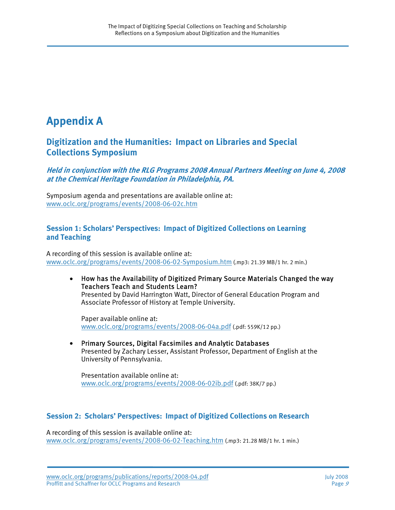## **Appendix A**

#### **Digitization and the Humanities: Impact on Libraries and Special Collections Symposium**

**Held in conjunction with the RLG Programs 2008 Annual Partners Meeting on June 4, 2008 at the Chemical Heritage Foundation in Philadelphia, PA.** 

Symposium agenda and presentations are available online at: [www.oclc.org/programs/events/2008-06-02c.htm](http://www.oclc.org/programs/events/2008-06-02c.htm)

#### **Session 1: Scholars' Perspectives: Impact of Digitized Collections on Learning and Teaching**

A recording of this session is available online at: [www.oclc.org/programs/events/2008-06-02-Symposium.htm](http://www.oclc.org/programs/events/2008-06-02-Symposium.htm) (.mp3: 21.39 MB/1 hr. 2 min.)

• How has the Availability of Digitized Primary Source Materials Changed the way Teachers Teach and Students Learn? Presented by David Harrington Watt, Director of General Education Program and Associate Professor of History at Temple University.

Paper available online at: [www.oclc.org/programs/events/2008-06-04a.pdf](http://www.oclc.org/programs/events/2008-06-04a.pdf) (.pdf: 559K/12 pp.)

• Primary Sources, Digital Facsimiles and Analytic Databases Presented by Zachary Lesser, Assistant Professor, Department of English at the University of Pennsylvania.

Presentation available online at: [www.oclc.org/programs/events/2008-06-02ib.pdf](http://www.oclc.org/programs/events/2008-06-02ib.pdf) (.pdf: 38K/7 pp.)

#### **Session 2: Scholars' Perspectives: Impact of Digitized Collections on Research**

A recording of this session is available online at: [www.oclc.org/programs/events/2008-06-02-Teaching.htm](http://www.oclc.org/programs/events/2008-06-02-Teaching.htm) (.mp3: 21.28 MB/1 hr. 1 min.)